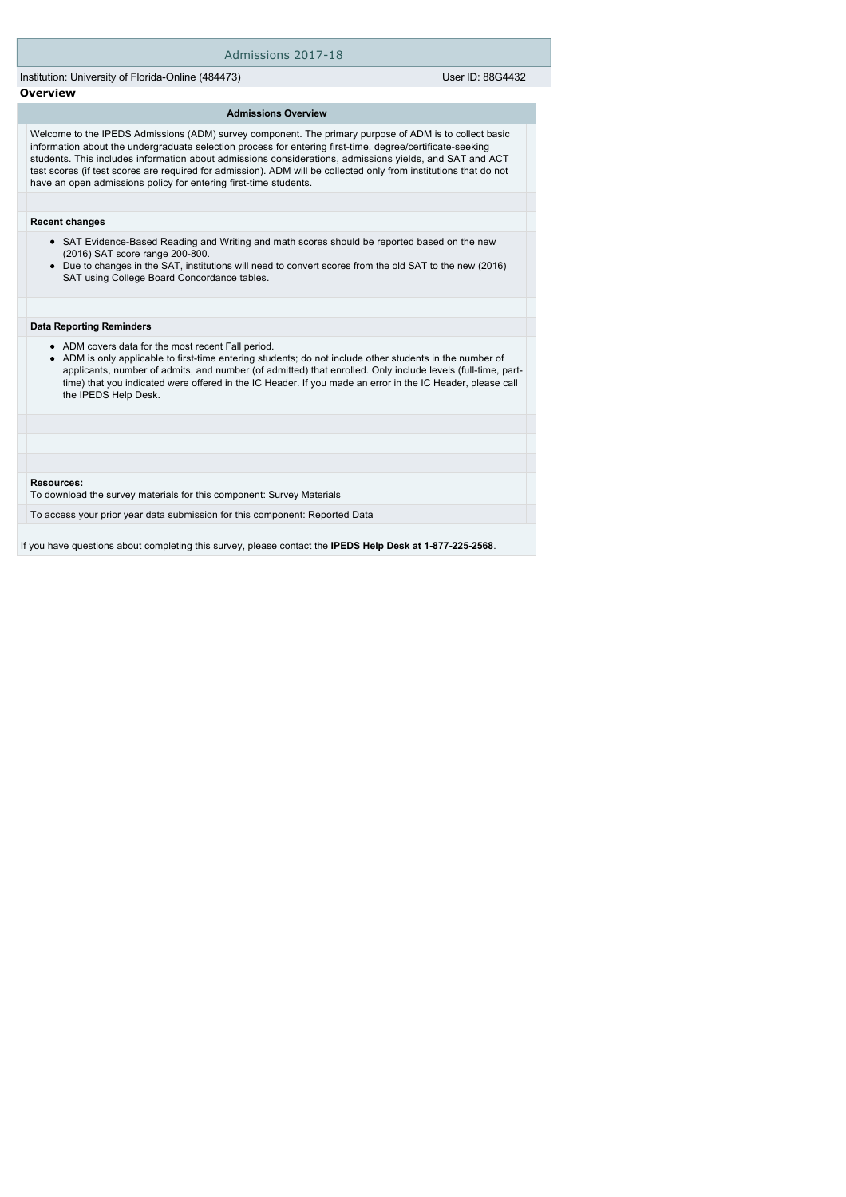### Admissions 2017-18

Institution: University of Florida-Online (484473) User ID: 88G4432

## **Overview**

## **Admissions Overview**

Welcome to the IPEDS Admissions (ADM) survey component. The primary purpose of ADM is to collect basic information about the undergraduate selection process for entering first-time, degree/certificate-seeking students. This includes information about admissions considerations, admissions yields, and SAT and ACT test scores (if test scores are required for admission). ADM will be collected only from institutions that do not have an open admissions policy for entering first-time students.

#### **Recent changes**

- SAT Evidence-Based Reading and Writing and math scores should be reported based on the new (2016) SAT score range 200-800.
- Due to changes in the SAT, institutions will need to convert scores from the old SAT to the new (2016) SAT using College Board Concordance tables.

#### **Data Reporting Reminders**

- ADM covers data for the most recent Fall period.
- ADM is only applicable to first-time entering students; do not include other students in the number of applicants, number of admits, and number (of admitted) that enrolled. Only include levels (full-time, parttime) that you indicated were offered in the IC Header. If you made an error in the IC Header, please call the IPEDS Help Desk.

#### **Resources:**

To download the survey materials for this component: [Survey Materials](https://surveys.nces.ed.gov/ipeds/VisIndex.aspx)

To access your prior year data submission for this component: [Reported Data](e:/Inetpub/wwwroot/IPEDS2K17_18/PriorYearDataRedirect.aspx?survey_id=14)

If you have questions about completing this survey, please contact the **IPEDS Help Desk at 1-877-225-2568**.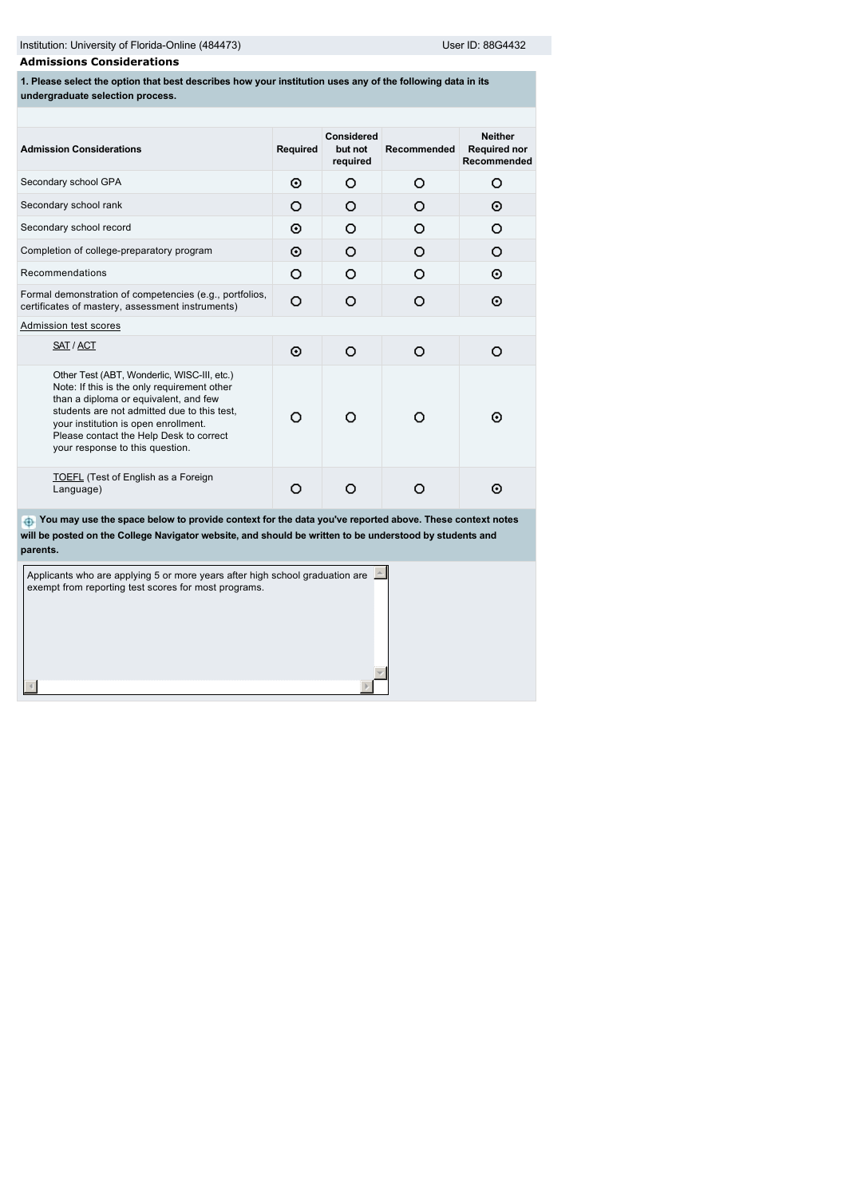# **Admissions Considerations**

**1. Please select the option that best describes how your institution uses any of the following data in its undergraduate selection process.**

| <b>Admission Considerations</b>                                                                                                                                                                                                                                                                          | <b>Required</b> | <b>Considered</b><br>but not<br>required | Recommended | <b>Neither</b><br><b>Required nor</b><br>Recommended |
|----------------------------------------------------------------------------------------------------------------------------------------------------------------------------------------------------------------------------------------------------------------------------------------------------------|-----------------|------------------------------------------|-------------|------------------------------------------------------|
| Secondary school GPA                                                                                                                                                                                                                                                                                     | ⊙               | O                                        | Ω           | O                                                    |
| Secondary school rank                                                                                                                                                                                                                                                                                    | Ω               | Ω                                        | Ω           | ⊙                                                    |
| Secondary school record                                                                                                                                                                                                                                                                                  | ⊙               | Ω                                        | Ω           | Ω                                                    |
| Completion of college-preparatory program                                                                                                                                                                                                                                                                | ⊙               | Ω                                        | Ω           | O                                                    |
| Recommendations                                                                                                                                                                                                                                                                                          | O               | Ω                                        | ∩           | ⊙                                                    |
| Formal demonstration of competencies (e.g., portfolios,<br>certificates of mastery, assessment instruments)                                                                                                                                                                                              | O               | Ω                                        | O           | ⊙                                                    |
| Admission test scores                                                                                                                                                                                                                                                                                    |                 |                                          |             |                                                      |
| SAT / ACT                                                                                                                                                                                                                                                                                                | ⊙               | Ω                                        | ∩           | Ω                                                    |
| Other Test (ABT, Wonderlic, WISC-III, etc.)<br>Note: If this is the only requirement other<br>than a diploma or equivalent, and few<br>students are not admitted due to this test,<br>your institution is open enrollment.<br>Please contact the Help Desk to correct<br>your response to this question. | ∩               |                                          |             | ⊙                                                    |
| <b>TOEFL</b> (Test of English as a Foreign<br>Language)                                                                                                                                                                                                                                                  |                 |                                          |             | ⊙                                                    |

 **You may use the space below to provide context for the data you've reported above. These context notes will be posted on the College Navigator website, and should be written to be understood by students and parents.**

| Applicants who are applying 5 or more years after high school graduation are<br>exempt from reporting test scores for most programs. |  |
|--------------------------------------------------------------------------------------------------------------------------------------|--|
|                                                                                                                                      |  |
|                                                                                                                                      |  |
|                                                                                                                                      |  |
|                                                                                                                                      |  |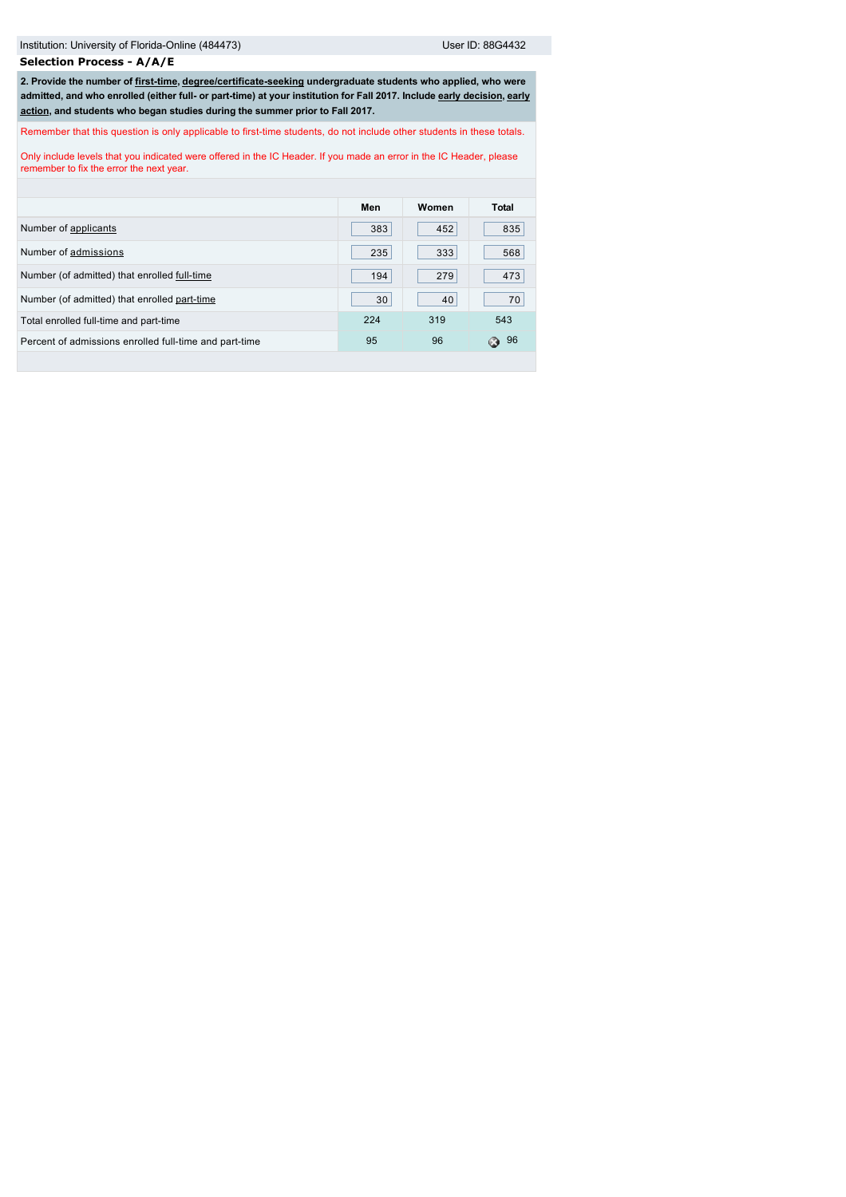**Selection Process - A/A/E**

**2. Provide the number of [first-time,](javascript:openglossary(241)) [degree/certificate-seeking](javascript:openglossary(171)) undergraduate students who applied, who were [admitted, and who enrolled \(either full- or part-time\) at your institution for Fall 2017. Include](javascript:openglossary(703)) [early decisio](javascript:openglossary(705))[n, early](javascript:openglossary(703)) action, and students who began studies during the summer prior to Fall 2017.**

Remember that this question is only applicable to first-time students, do not include other students in these totals.

Only include levels that you indicated were offered in the IC Header. If you made an error in the IC Header, please remember to fix the error the next year.

|                                                        | Men | Women | Total    |
|--------------------------------------------------------|-----|-------|----------|
| Number of applicants                                   | 383 | 452   | 835      |
| Number of admissions                                   | 235 | 333   | 568      |
| Number (of admitted) that enrolled full-time           | 194 | 279   | 473      |
| Number (of admitted) that enrolled part-time           | 30  | 40    | 70       |
| Total enrolled full-time and part-time                 | 224 | 319   | 543      |
| Percent of admissions enrolled full-time and part-time | 95  | 96    | -96<br>Ω |
|                                                        |     |       |          |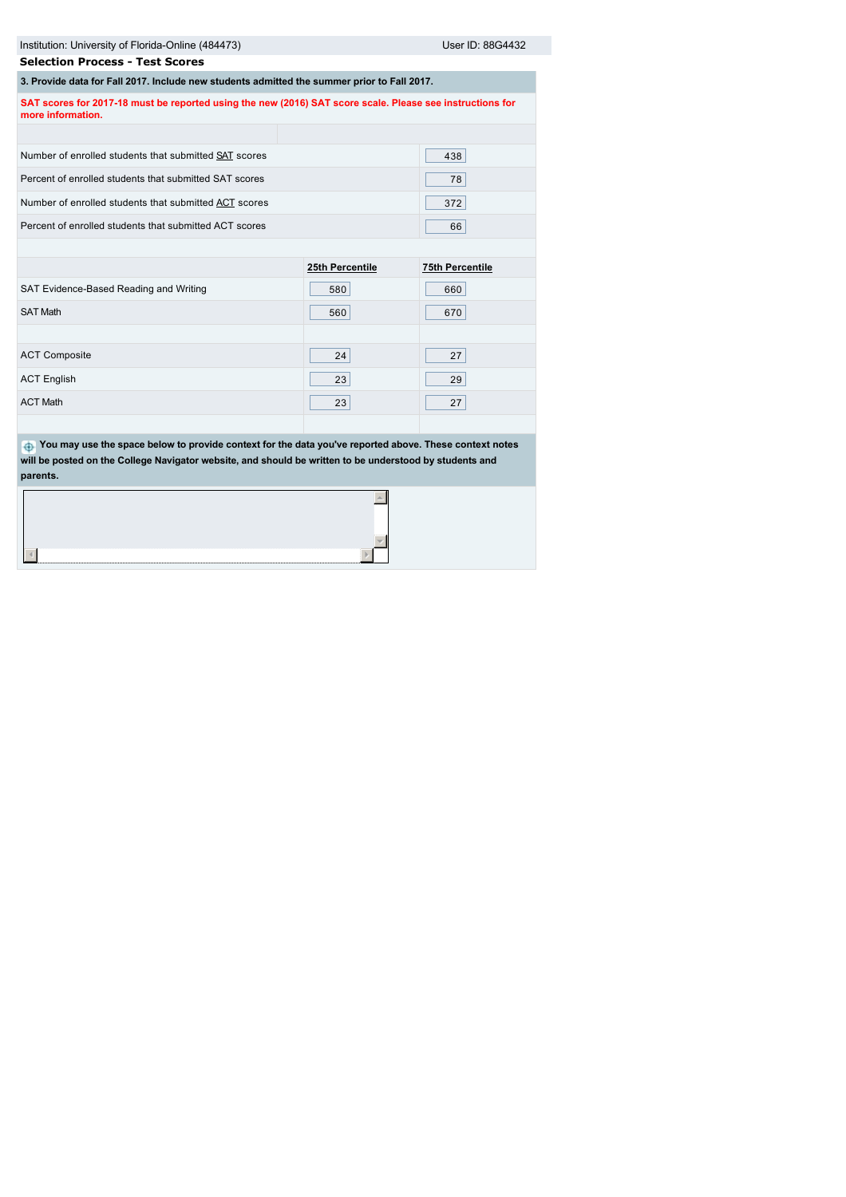| Institution: University of Florida-Online (484473)                                                                             |                 | User ID: 88G4432       |  |  |
|--------------------------------------------------------------------------------------------------------------------------------|-----------------|------------------------|--|--|
| <b>Selection Process - Test Scores</b>                                                                                         |                 |                        |  |  |
| 3. Provide data for Fall 2017. Include new students admitted the summer prior to Fall 2017.                                    |                 |                        |  |  |
| SAT scores for 2017-18 must be reported using the new (2016) SAT score scale. Please see instructions for<br>more information. |                 |                        |  |  |
|                                                                                                                                |                 |                        |  |  |
| Number of enrolled students that submitted SAT scores                                                                          |                 | 438                    |  |  |
| Percent of enrolled students that submitted SAT scores                                                                         |                 | 78                     |  |  |
| Number of enrolled students that submitted ACT scores                                                                          |                 | 372                    |  |  |
| Percent of enrolled students that submitted ACT scores                                                                         |                 | 66                     |  |  |
|                                                                                                                                |                 |                        |  |  |
|                                                                                                                                | 25th Percentile | <b>75th Percentile</b> |  |  |
| SAT Evidence-Based Reading and Writing                                                                                         | 580             | 660                    |  |  |
| <b>SAT Math</b>                                                                                                                | 560             | 670                    |  |  |

| <b>ACT Composite</b> | 24 | 27 |
|----------------------|----|----|
| <b>ACT English</b>   | 23 | 29 |
| <b>ACT Math</b>      | 23 | 27 |

 **You may use the space below to provide context for the data you've reported above. These context notes will be posted on the College Navigator website, and should be written to be understood by students and parents.**

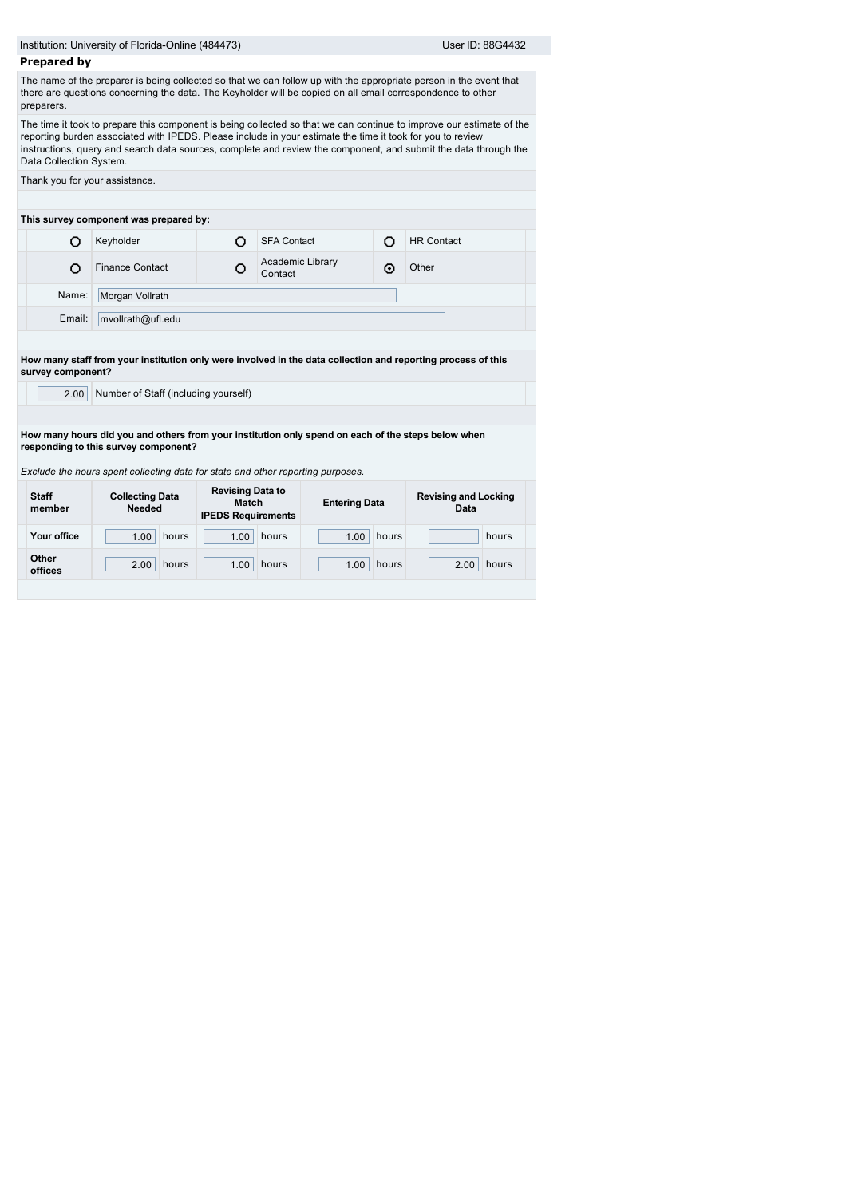| <b>Prepared by</b>      |                                         | Institution: University of Florida-Online (484473)                   |                                                                                                              |       | User ID: 88G4432                                                                                                                                                                                                                        |  |  |  |
|-------------------------|-----------------------------------------|----------------------------------------------------------------------|--------------------------------------------------------------------------------------------------------------|-------|-----------------------------------------------------------------------------------------------------------------------------------------------------------------------------------------------------------------------------------------|--|--|--|
|                         |                                         |                                                                      |                                                                                                              |       |                                                                                                                                                                                                                                         |  |  |  |
| preparers.              |                                         |                                                                      | there are questions concerning the data. The Keyholder will be copied on all email correspondence to other   |       | The name of the preparer is being collected so that we can follow up with the appropriate person in the event that                                                                                                                      |  |  |  |
| Data Collection System. |                                         |                                                                      | reporting burden associated with IPEDS. Please include in your estimate the time it took for you to review   |       | The time it took to prepare this component is being collected so that we can continue to improve our estimate of the<br>instructions, query and search data sources, complete and review the component, and submit the data through the |  |  |  |
|                         | Thank you for your assistance.          |                                                                      |                                                                                                              |       |                                                                                                                                                                                                                                         |  |  |  |
|                         | This survey component was prepared by:  |                                                                      |                                                                                                              |       |                                                                                                                                                                                                                                         |  |  |  |
| Ω                       | Keyholder                               | O                                                                    | <b>SFA Contact</b>                                                                                           | O     | <b>HR Contact</b>                                                                                                                                                                                                                       |  |  |  |
| Ω                       | <b>Finance Contact</b>                  | O                                                                    | Academic Library<br>Contact                                                                                  | ⊙     | Other                                                                                                                                                                                                                                   |  |  |  |
| Name:                   | Morgan Vollrath                         |                                                                      |                                                                                                              |       |                                                                                                                                                                                                                                         |  |  |  |
| Email:                  | mvollrath@ufl.edu                       |                                                                      |                                                                                                              |       |                                                                                                                                                                                                                                         |  |  |  |
|                         |                                         |                                                                      |                                                                                                              |       |                                                                                                                                                                                                                                         |  |  |  |
|                         |                                         |                                                                      | How many staff from your institution only were involved in the data collection and reporting process of this |       |                                                                                                                                                                                                                                         |  |  |  |
| survey component?       |                                         |                                                                      |                                                                                                              |       |                                                                                                                                                                                                                                         |  |  |  |
| 2.00                    | Number of Staff (including yourself)    |                                                                      |                                                                                                              |       |                                                                                                                                                                                                                                         |  |  |  |
|                         |                                         |                                                                      |                                                                                                              |       |                                                                                                                                                                                                                                         |  |  |  |
|                         |                                         |                                                                      | How many hours did you and others from your institution only spend on each of the steps below when           |       |                                                                                                                                                                                                                                         |  |  |  |
|                         | responding to this survey component?    |                                                                      |                                                                                                              |       |                                                                                                                                                                                                                                         |  |  |  |
|                         |                                         |                                                                      | Exclude the hours spent collecting data for state and other reporting purposes.                              |       |                                                                                                                                                                                                                                         |  |  |  |
| <b>Staff</b><br>member  | <b>Collecting Data</b><br><b>Needed</b> | <b>Revising Data to</b><br><b>Match</b><br><b>IPEDS Requirements</b> | <b>Entering Data</b>                                                                                         |       | <b>Revising and Locking</b><br>Data                                                                                                                                                                                                     |  |  |  |
| Your office             | 1.00<br>hours                           | 1.00                                                                 | hours<br>1.00                                                                                                | hours | hours                                                                                                                                                                                                                                   |  |  |  |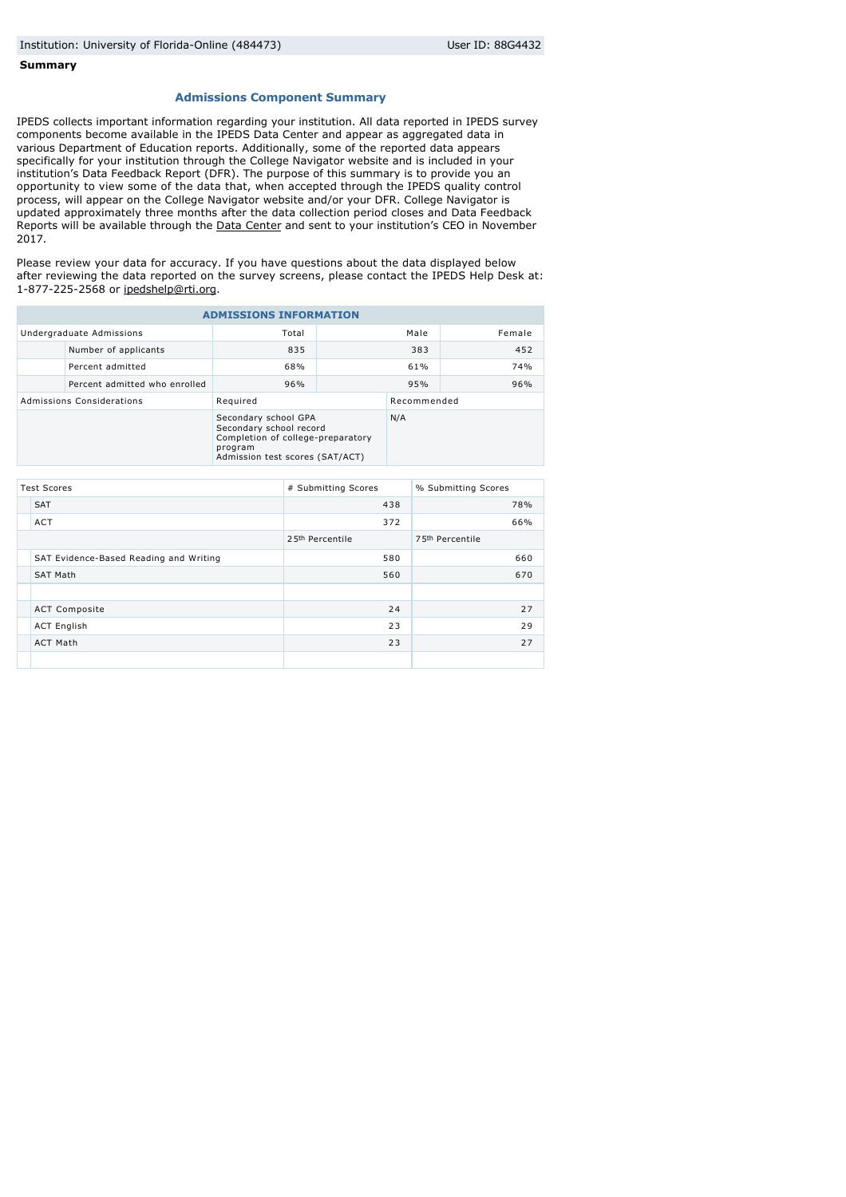#### **Summary**

## **Admissions Component Summary**

IPEDS collects important information regarding your institution. All data reported in IPEDS survey components become available in the IPEDS Data Center and appear as aggregated data in various Department of Education reports. Additionally, some of the reported data appears specifically for your institution through the College Navigator website and is included in your institution's Data Feedback Report (DFR). The purpose of this summary is to provide you an opportunity to view some of the data that, when accepted through the IPEDS quality control process, will appear on the College Navigator website and/or your DFR. College Navigator is updated approximately three months after the data collection period closes and Data Feedback Reports will be available through the [Data Center](http://nces.ed.gov/ipeds/datacenter/) and sent to your institution's CEO in November 2017.

Please review your data for accuracy. If you have questions about the data displayed below after reviewing the data reported on the survey screens, please contact the IPEDS Help Desk at: 1-877-225-2568 or [ipedshelp@rti.org](mailto:ipedshelp@rti.org).

| <b>ADMISSIONS INFORMATION</b> |                               |                                                                                                                                    |  |             |        |
|-------------------------------|-------------------------------|------------------------------------------------------------------------------------------------------------------------------------|--|-------------|--------|
|                               | Undergraduate Admissions      | Total                                                                                                                              |  | Male        | Female |
|                               | Number of applicants          | 835                                                                                                                                |  | 383         | 452    |
|                               | Percent admitted              | 68%                                                                                                                                |  | 61%         | 74%    |
|                               | Percent admitted who enrolled | 96%                                                                                                                                |  | 95%         | 96%    |
| Admissions Considerations     |                               | Required                                                                                                                           |  | Recommended |        |
|                               |                               | Secondary school GPA<br>Secondary school record<br>Completion of college-preparatory<br>program<br>Admission test scores (SAT/ACT) |  | N/A         |        |

| <b>Test Scores</b> |                                        | # Submitting Scores | % Submitting Scores |  |
|--------------------|----------------------------------------|---------------------|---------------------|--|
|                    | <b>SAT</b>                             | 438                 | 78%                 |  |
|                    | <b>ACT</b>                             | 372                 | 66%                 |  |
|                    |                                        | 2.5th Percentile    | 75th Percentile     |  |
|                    | SAT Evidence-Based Reading and Writing | 580                 | 660                 |  |
|                    | <b>SAT Math</b>                        | 560                 | 670                 |  |
|                    |                                        |                     |                     |  |
|                    | <b>ACT Composite</b>                   | 24                  | 27                  |  |
|                    | <b>ACT English</b>                     | 23                  | 29                  |  |
|                    | <b>ACT Math</b>                        | 23                  | 27                  |  |
|                    |                                        |                     |                     |  |